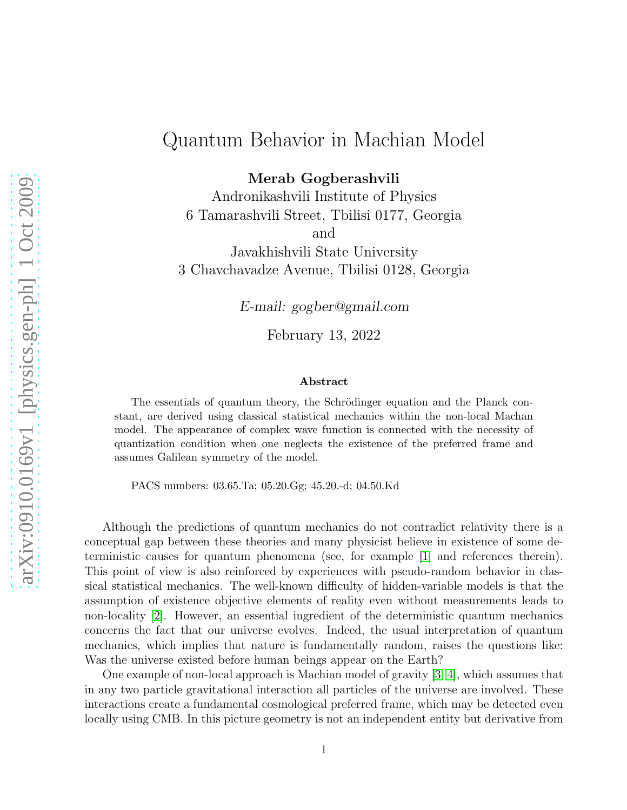## Quantum Behavior in Machian Model

Merab Gogberashvili

Andronikashvili Institute of Physics 6 Tamarashvili Street, Tbilisi 0177, Georgia and

Javakhishvili State University 3 Chavchavadze Avenue, Tbilisi 0128, Georgia

*E-mail: gogber@gmail.com*

February 13, 2022

## Abstract

The essentials of quantum theory, the Schrödinger equation and the Planck constant, are derived using classical statistical mechanics within the non-local Machan model. The appearance of complex wave function is connected with the necessity of quantization condition when one neglects the existence of the preferred frame and assumes Galilean symmetry of the model.

PACS numbers: 03.65.Ta; 05.20.Gg; 45.20.-d; 04.50.Kd

Although the predictions of quantum mechanics do not contradict relativity there is a conceptual gap between these theories and many physicist believe in existence of some deterministic causes for quantum phenomena (see, for example [\[1\]](#page-7-0) and references therein). This point of view is also reinforced by experiences with pseudo-random behavior in classical statistical mechanics. The well-known difficulty of hidden-variable models is that the assumption of existence objective elements of reality even without measurements leads to non-locality [\[2\]](#page-8-0). However, an essential ingredient of the deterministic quantum mechanics concerns the fact that our universe evolves. Indeed, the usual interpretation of quantum mechanics, which implies that nature is fundamentally random, raises the questions like: Was the universe existed before human beings appear on the Earth?

One example of non-local approach is Machian model of gravity [\[3,](#page-8-1) [4\]](#page-8-2), which assumes that in any two particle gravitational interaction all particles of the universe are involved. These interactions create a fundamental cosmological preferred frame, which may be detected even locally using CMB. In this picture geometry is not an independent entity but derivative from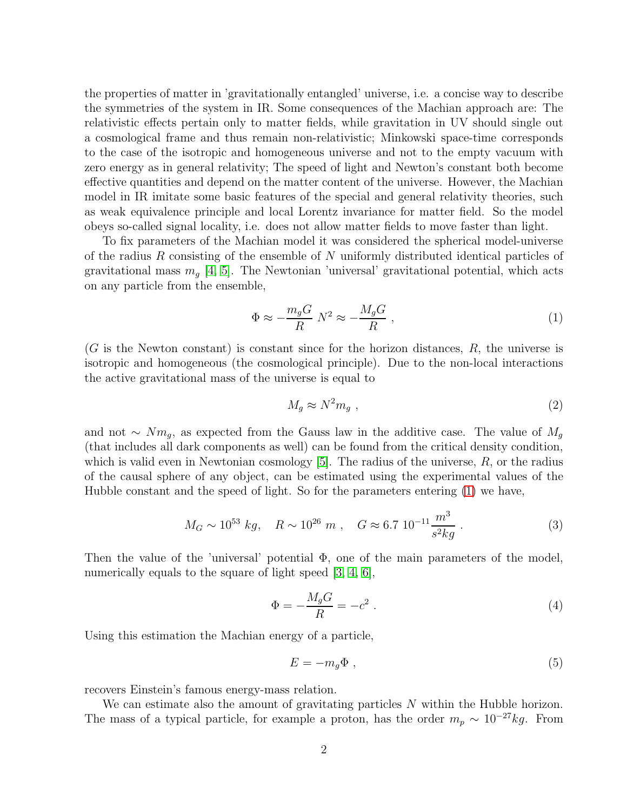the properties of matter in 'gravitationally entangled' universe, i.e. a concise way to describe the symmetries of the system in IR. Some consequences of the Machian approach are: The relativistic effects pertain only to matter fields, while gravitation in UV should single out a cosmological frame and thus remain non-relativistic; Minkowski space-time corresponds to the case of the isotropic and homogeneous universe and not to the empty vacuum with zero energy as in general relativity; The speed of light and Newton's constant both become effective quantities and depend on the matter content of the universe. However, the Machian model in IR imitate some basic features of the special and general relativity theories, such as weak equivalence principle and local Lorentz invariance for matter field. So the model obeys so-called signal locality, i.e. does not allow matter fields to move faster than light.

To fix parameters of the Machian model it was considered the spherical model-universe of the radius R consisting of the ensemble of N uniformly distributed identical particles of gravitational mass  $m_q$  [\[4,](#page-8-2) [5\]](#page-8-3). The Newtonian 'universal' gravitational potential, which acts on any particle from the ensemble,

<span id="page-1-0"></span>
$$
\Phi \approx -\frac{m_g G}{R} N^2 \approx -\frac{M_g G}{R} \,,\tag{1}
$$

 $(G$  is the Newton constant) is constant since for the horizon distances,  $R$ , the universe is isotropic and homogeneous (the cosmological principle). Due to the non-local interactions the active gravitational mass of the universe is equal to

<span id="page-1-1"></span>
$$
M_g \approx N^2 m_g \tag{2}
$$

and not ∼  $Nm_q$ , as expected from the Gauss law in the additive case. The value of  $M_q$ (that includes all dark components as well) can be found from the critical density condition, which is valid even in Newtonian cosmology  $[5]$ . The radius of the universe,  $R$ , or the radius of the causal sphere of any object, can be estimated using the experimental values of the Hubble constant and the speed of light. So for the parameters entering [\(1\)](#page-1-0) we have,

<span id="page-1-3"></span>
$$
M_G \sim 10^{53} \ kg, \quad R \sim 10^{26} \ m \ , \quad G \approx 6.7 \ 10^{-11} \frac{m^3}{s^2 kg} \ . \tag{3}
$$

Then the value of the 'universal' potential  $\Phi$ , one of the main parameters of the model, numerically equals to the square of light speed [\[3,](#page-8-1) [4,](#page-8-2) [6\]](#page-8-4),

<span id="page-1-4"></span>
$$
\Phi = -\frac{M_g G}{R} = -c^2 \tag{4}
$$

Using this estimation the Machian energy of a particle,

<span id="page-1-2"></span>
$$
E = -m_g \Phi , \t\t(5)
$$

recovers Einstein's famous energy-mass relation.

We can estimate also the amount of gravitating particles N within the Hubble horizon. The mass of a typical particle, for example a proton, has the order  $m_p \sim 10^{-27} kg$ . From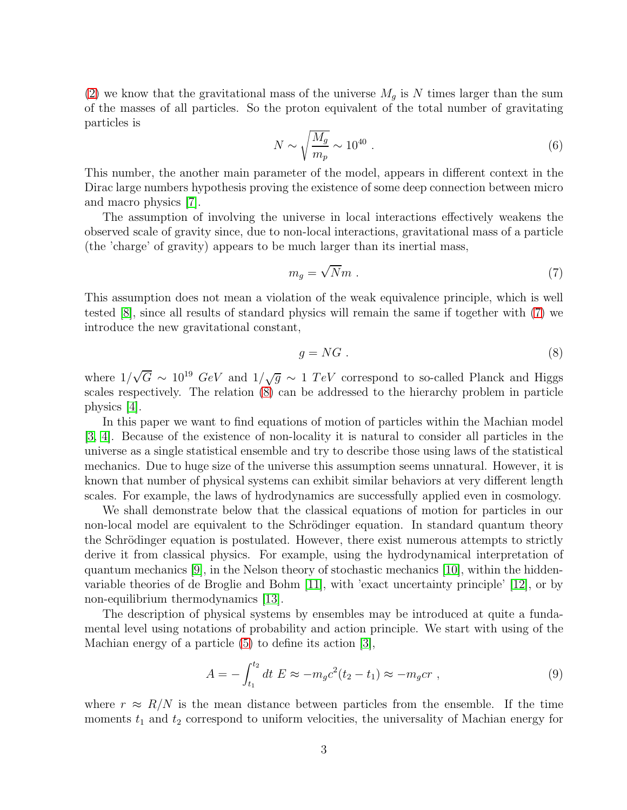[\(2\)](#page-1-1) we know that the gravitational mass of the universe  $M_g$  is N times larger than the sum of the masses of all particles. So the proton equivalent of the total number of gravitating particles is

<span id="page-2-3"></span>
$$
N \sim \sqrt{\frac{M_g}{m_p}} \sim 10^{40} \ . \tag{6}
$$

This number, the another main parameter of the model, appears in different context in the Dirac large numbers hypothesis proving the existence of some deep connection between micro and macro physics [\[7\]](#page-8-5).

The assumption of involving the universe in local interactions effectively weakens the observed scale of gravity since, due to non-local interactions, gravitational mass of a particle (the 'charge' of gravity) appears to be much larger than its inertial mass,

<span id="page-2-0"></span>
$$
m_g = \sqrt{N}m \tag{7}
$$

This assumption does not mean a violation of the weak equivalence principle, which is well tested [\[8\]](#page-8-6), since all results of standard physics will remain the same if together with [\(7\)](#page-2-0) we introduce the new gravitational constant,

<span id="page-2-1"></span>
$$
g = NG \tag{8}
$$

where  $1/\sqrt{G} \sim 10^{19} GeV$  and  $1/\sqrt{g} \sim 1 TeV$  correspond to so-called Planck and Higgs scales respectively. The relation [\(8\)](#page-2-1) can be addressed to the hierarchy problem in particle physics [\[4\]](#page-8-2).

In this paper we want to find equations of motion of particles within the Machian model [\[3,](#page-8-1) [4\]](#page-8-2). Because of the existence of non-locality it is natural to consider all particles in the universe as a single statistical ensemble and try to describe those using laws of the statistical mechanics. Due to huge size of the universe this assumption seems unnatural. However, it is known that number of physical systems can exhibit similar behaviors at very different length scales. For example, the laws of hydrodynamics are successfully applied even in cosmology.

We shall demonstrate below that the classical equations of motion for particles in our non-local model are equivalent to the Schrödinger equation. In standard quantum theory the Schrödinger equation is postulated. However, there exist numerous attempts to strictly derive it from classical physics. For example, using the hydrodynamical interpretation of quantum mechanics [\[9\]](#page-8-7), in the Nelson theory of stochastic mechanics [\[10\]](#page-8-8), within the hiddenvariable theories of de Broglie and Bohm [\[11\]](#page-8-9), with 'exact uncertainty principle' [\[12\]](#page-8-10), or by non-equilibrium thermodynamics [\[13\]](#page-8-11).

The description of physical systems by ensembles may be introduced at quite a fundamental level using notations of probability and action principle. We start with using of the Machian energy of a particle [\(5\)](#page-1-2) to define its action [\[3\]](#page-8-1),

<span id="page-2-2"></span>
$$
A = -\int_{t_1}^{t_2} dt \ E \approx -m_g c^2 (t_2 - t_1) \approx -m_g c r \ , \tag{9}
$$

where  $r \approx R/N$  is the mean distance between particles from the ensemble. If the time moments  $t_1$  and  $t_2$  correspond to uniform velocities, the universality of Machian energy for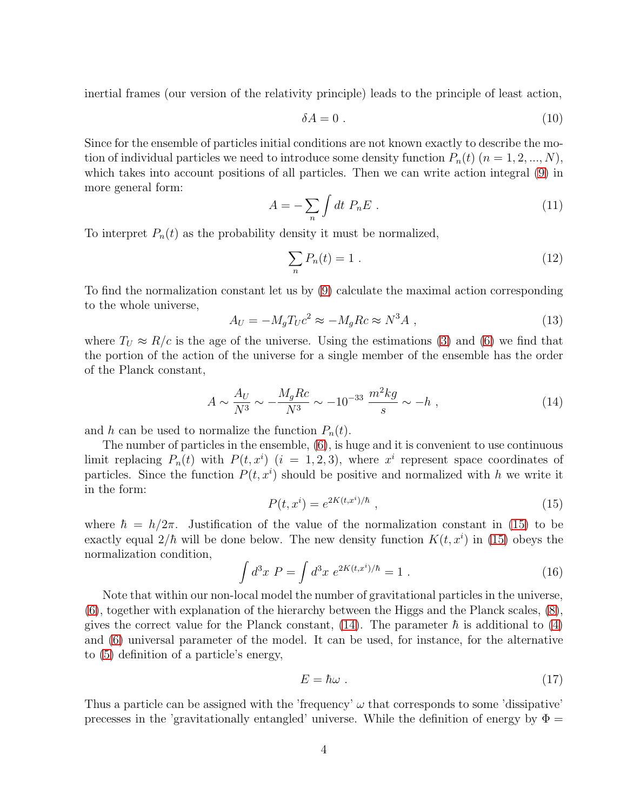inertial frames (our version of the relativity principle) leads to the principle of least action,

<span id="page-3-4"></span>
$$
\delta A = 0 \tag{10}
$$

Since for the ensemble of particles initial conditions are not known exactly to describe the motion of individual particles we need to introduce some density function  $P_n(t)$   $(n = 1, 2, ..., N)$ , which takes into account positions of all particles. Then we can write action integral  $(9)$  in more general form:

<span id="page-3-3"></span>
$$
A = -\sum_{n} \int dt \ P_{n} E \ . \tag{11}
$$

To interpret  $P_n(t)$  as the probability density it must be normalized,

$$
\sum_{n} P_n(t) = 1 \tag{12}
$$

To find the normalization constant let us by [\(9\)](#page-2-2) calculate the maximal action corresponding to the whole universe,

$$
A_U = -M_g T_U c^2 \approx -M_g R c \approx N^3 A \tag{13}
$$

where  $T_U \approx R/c$  is the age of the universe. Using the estimations [\(3\)](#page-1-3) and [\(6\)](#page-2-3) we find that the portion of the action of the universe for a single member of the ensemble has the order of the Planck constant,

<span id="page-3-1"></span>
$$
A \sim \frac{A_U}{N^3} \sim -\frac{M_g R c}{N^3} \sim -10^{-33} \frac{m^2 kg}{s} \sim -h \tag{14}
$$

and h can be used to normalize the function  $P_n(t)$ .

The number of particles in the ensemble, [\(6\)](#page-2-3), is huge and it is convenient to use continuous limit replacing  $P_n(t)$  with  $P(t, x^i)$   $(i = 1, 2, 3)$ , where  $x^i$  represent space coordinates of particles. Since the function  $P(t, x^i)$  should be positive and normalized with h we write it in the form:

<span id="page-3-0"></span>
$$
P(t, x^{i}) = e^{2K(t, x^{i})/\hbar} \t{,}
$$
\t(15)

where  $\hbar = h/2\pi$ . Justification of the value of the normalization constant in [\(15\)](#page-3-0) to be exactly equal  $2/\hbar$  will be done below. The new density function  $K(t, x^i)$  in [\(15\)](#page-3-0) obeys the normalization condition,

$$
\int d^3x \ P = \int d^3x \ e^{2K(t,x^i)/\hbar} = 1 \ . \tag{16}
$$

Note that within our non-local model the number of gravitational particles in the universe, [\(6\)](#page-2-3), together with explanation of the hierarchy between the Higgs and the Planck scales, [\(8\)](#page-2-1), gives the correct value for the Planck constant, [\(14\)](#page-3-1). The parameter  $\hbar$  is additional to [\(4\)](#page-1-4) and [\(6\)](#page-2-3) universal parameter of the model. It can be used, for instance, for the alternative to [\(5\)](#page-1-2) definition of a particle's energy,

<span id="page-3-2"></span>
$$
E = \hbar\omega \tag{17}
$$

Thus a particle can be assigned with the 'frequency'  $\omega$  that corresponds to some 'dissipative' precesses in the 'gravitationally entangled' universe. While the definition of energy by  $\Phi =$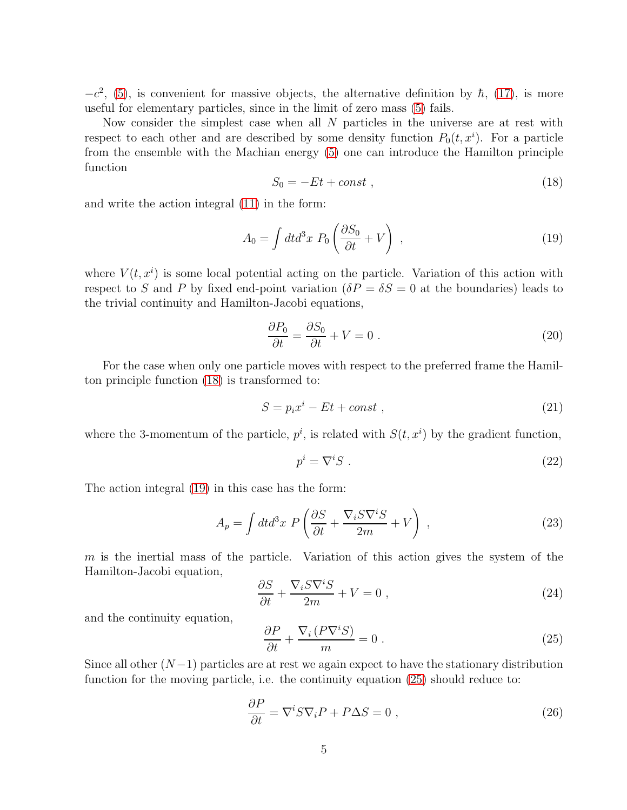$-c^2$ , [\(5\)](#page-1-2), is convenient for massive objects, the alternative definition by  $\hbar$ , [\(17\)](#page-3-2), is more useful for elementary particles, since in the limit of zero mass [\(5\)](#page-1-2) fails.

Now consider the simplest case when all  $N$  particles in the universe are at rest with respect to each other and are described by some density function  $P_0(t, x^i)$ . For a particle from the ensemble with the Machian energy [\(5\)](#page-1-2) one can introduce the Hamilton principle function

<span id="page-4-0"></span>
$$
S_0 = -Et + const , \qquad (18)
$$

and write the action integral [\(11\)](#page-3-3) in the form:

<span id="page-4-1"></span>
$$
A_0 = \int dt d^3x \ P_0 \left(\frac{\partial S_0}{\partial t} + V\right) \,,\tag{19}
$$

where  $V(t, x<sup>i</sup>)$  is some local potential acting on the particle. Variation of this action with respect to S and P by fixed end-point variation ( $\delta P = \delta S = 0$  at the boundaries) leads to the trivial continuity and Hamilton-Jacobi equations,

<span id="page-4-4"></span>
$$
\frac{\partial P_0}{\partial t} = \frac{\partial S_0}{\partial t} + V = 0.
$$
\n(20)

For the case when only one particle moves with respect to the preferred frame the Hamilton principle function [\(18\)](#page-4-0) is transformed to:

<span id="page-4-6"></span>
$$
S = p_i x^i - Et + const , \qquad (21)
$$

where the 3-momentum of the particle,  $p^i$ , is related with  $S(t, x^i)$  by the gradient function,

<span id="page-4-5"></span>
$$
p^i = \nabla^i S \tag{22}
$$

The action integral [\(19\)](#page-4-1) in this case has the form:

<span id="page-4-8"></span>
$$
A_p = \int dt d^3x \ P\left(\frac{\partial S}{\partial t} + \frac{\nabla_i S \nabla^i S}{2m} + V\right) \,, \tag{23}
$$

 $m$  is the inertial mass of the particle. Variation of this action gives the system of the Hamilton-Jacobi equation,

<span id="page-4-7"></span>
$$
\frac{\partial S}{\partial t} + \frac{\nabla_i S \nabla^i S}{2m} + V = 0 \,, \tag{24}
$$

and the continuity equation,

<span id="page-4-2"></span>
$$
\frac{\partial P}{\partial t} + \frac{\nabla_i \left( P \nabla^i S \right)}{m} = 0 \tag{25}
$$

Since all other  $(N-1)$  particles are at rest we again expect to have the stationary distribution function for the moving particle, i.e. the continuity equation [\(25\)](#page-4-2) should reduce to:

<span id="page-4-3"></span>
$$
\frac{\partial P}{\partial t} = \nabla^i S \nabla_i P + P \Delta S = 0 \;, \tag{26}
$$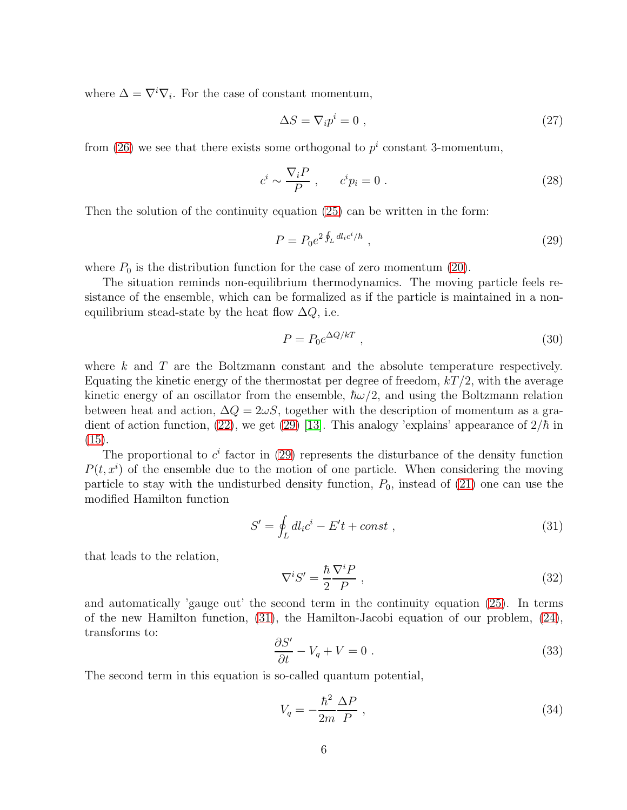where  $\Delta = \nabla^i \nabla_i$ . For the case of constant momentum,

$$
\Delta S = \nabla_i p^i = 0 \tag{27}
$$

from [\(26\)](#page-4-3) we see that there exists some orthogonal to  $p<sup>i</sup>$  constant 3-momentum,

$$
c^i \sim \frac{\nabla_i P}{P} , \qquad c^i p_i = 0 . \tag{28}
$$

Then the solution of the continuity equation [\(25\)](#page-4-2) can be written in the form:

<span id="page-5-0"></span>
$$
P = P_0 e^{2 \oint_L dl_i c^i / \hbar} \t{29}
$$

where  $P_0$  is the distribution function for the case of zero momentum [\(20\)](#page-4-4).

The situation reminds non-equilibrium thermodynamics. The moving particle feels resistance of the ensemble, which can be formalized as if the particle is maintained in a nonequilibrium stead-state by the heat flow  $\Delta Q$ , i.e.

$$
P = P_0 e^{\Delta Q/kT} \t{30}
$$

where k and T are the Boltzmann constant and the absolute temperature respectively. Equating the kinetic energy of the thermostat per degree of freedom,  $kT/2$ , with the average kinetic energy of an oscillator from the ensemble,  $\hbar\omega/2$ , and using the Boltzmann relation between heat and action,  $\Delta Q = 2\omega S$ , together with the description of momentum as a gra-dient of action function, [\(22\)](#page-4-5), we get [\(29\)](#page-5-0) [\[13\]](#page-8-11). This analogy 'explains' appearance of  $2/\hbar$  in [\(15\)](#page-3-0).

The proportional to  $c^i$  factor in [\(29\)](#page-5-0) represents the disturbance of the density function  $P(t, x^{i})$  of the ensemble due to the motion of one particle. When considering the moving particle to stay with the undisturbed density function,  $P_0$ , instead of [\(21\)](#page-4-6) one can use the modified Hamilton function

<span id="page-5-1"></span>
$$
S' = \oint_L dl_i c^i - E't + const , \qquad (31)
$$

that leads to the relation,

<span id="page-5-3"></span>
$$
\nabla^i S' = \frac{\hbar}{2} \frac{\nabla^i P}{P} \,,\tag{32}
$$

and automatically 'gauge out' the second term in the continuity equation [\(25\)](#page-4-2). In terms of the new Hamilton function, [\(31\)](#page-5-1), the Hamilton-Jacobi equation of our problem, [\(24\)](#page-4-7), transforms to:

<span id="page-5-2"></span>
$$
\frac{\partial S'}{\partial t} - V_q + V = 0 \tag{33}
$$

The second term in this equation is so-called quantum potential,

$$
V_q = -\frac{\hbar^2}{2m} \frac{\Delta P}{P} \,,\tag{34}
$$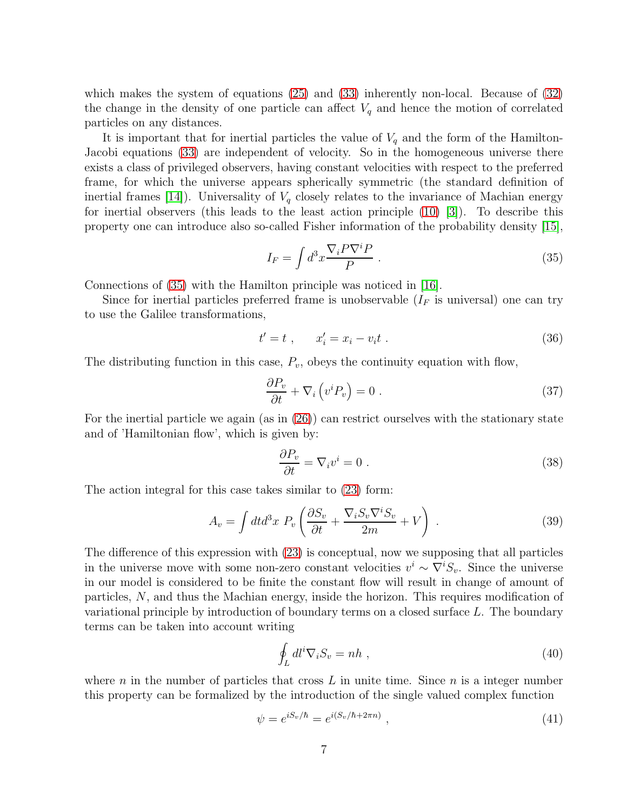which makes the system of equations [\(25\)](#page-4-2) and [\(33\)](#page-5-2) inherently non-local. Because of [\(32\)](#page-5-3) the change in the density of one particle can affect  $V_q$  and hence the motion of correlated particles on any distances.

It is important that for inertial particles the value of  $V_q$  and the form of the Hamilton-Jacobi equations [\(33\)](#page-5-2) are independent of velocity. So in the homogeneous universe there exists a class of privileged observers, having constant velocities with respect to the preferred frame, for which the universe appears spherically symmetric (the standard definition of inertial frames [\[14\]](#page-8-12)). Universality of  $V_q$  closely relates to the invariance of Machian energy for inertial observers (this leads to the least action principle  $(10)$   $|3|$ ). To describe this property one can introduce also so-called Fisher information of the probability density [\[15\]](#page-8-13),

<span id="page-6-0"></span>
$$
I_F = \int d^3x \frac{\nabla_i P \nabla^i P}{P} \tag{35}
$$

Connections of [\(35\)](#page-6-0) with the Hamilton principle was noticed in [\[16\]](#page-8-14).

Since for inertial particles preferred frame is unobservable  $(I_F$  is universal) one can try to use the Galilee transformations,

$$
t' = t , \qquad x'_i = x_i - v_i t . \tag{36}
$$

The distributing function in this case,  $P_v$ , obeys the continuity equation with flow,

$$
\frac{\partial P_v}{\partial t} + \nabla_i \left( v^i P_v \right) = 0 \tag{37}
$$

For the inertial particle we again (as in [\(26\)](#page-4-3)) can restrict ourselves with the stationary state and of 'Hamiltonian flow', which is given by:

$$
\frac{\partial P_v}{\partial t} = \nabla_i v^i = 0 \tag{38}
$$

The action integral for this case takes similar to [\(23\)](#page-4-8) form:

$$
A_v = \int dt d^3x \ P_v \left( \frac{\partial S_v}{\partial t} + \frac{\nabla_i S_v \nabla^i S_v}{2m} + V \right) \ . \tag{39}
$$

The difference of this expression with [\(23\)](#page-4-8) is conceptual, now we supposing that all particles in the universe move with some non-zero constant velocities  $v^i \sim \nabla^i S_v$ . Since the universe in our model is considered to be finite the constant flow will result in change of amount of particles, N, and thus the Machian energy, inside the horizon. This requires modification of variational principle by introduction of boundary terms on a closed surface L. The boundary terms can be taken into account writing

<span id="page-6-1"></span>
$$
\oint_L dl^i \nabla_i S_v = nh \;, \tag{40}
$$

where n in the number of particles that cross  $L$  in unite time. Since  $n$  is a integer number this property can be formalized by the introduction of the single valued complex function

<span id="page-6-2"></span>
$$
\psi = e^{iS_v/\hbar} = e^{i(S_v/\hbar + 2\pi n)}, \qquad (41)
$$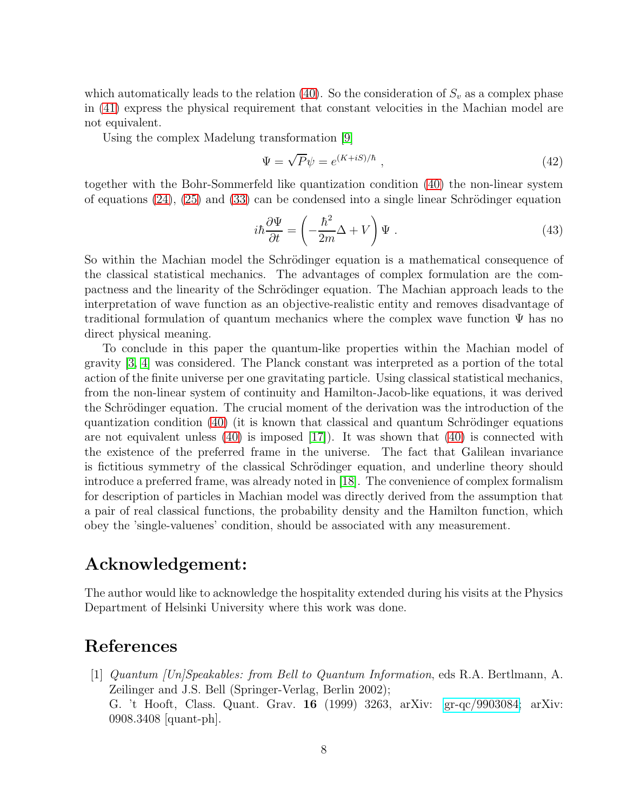which automatically leads to the relation [\(40\)](#page-6-1). So the consideration of  $S_v$  as a complex phase in [\(41\)](#page-6-2) express the physical requirement that constant velocities in the Machian model are not equivalent.

Using the complex Madelung transformation [\[9\]](#page-8-7)

$$
\Psi = \sqrt{P}\psi = e^{(K+iS)/\hbar} \t{,} \t(42)
$$

together with the Bohr-Sommerfeld like quantization condition [\(40\)](#page-6-1) the non-linear system of equations  $(24)$ ,  $(25)$  and  $(33)$  can be condensed into a single linear Schrödinger equation

$$
i\hbar \frac{\partial \Psi}{\partial t} = \left(-\frac{\hbar^2}{2m}\Delta + V\right)\Psi.
$$
\n(43)

So within the Machian model the Schrödinger equation is a mathematical consequence of the classical statistical mechanics. The advantages of complex formulation are the compactness and the linearity of the Schrödinger equation. The Machian approach leads to the interpretation of wave function as an objective-realistic entity and removes disadvantage of traditional formulation of quantum mechanics where the complex wave function  $\Psi$  has no direct physical meaning.

To conclude in this paper the quantum-like properties within the Machian model of gravity [\[3,](#page-8-1) [4\]](#page-8-2) was considered. The Planck constant was interpreted as a portion of the total action of the finite universe per one gravitating particle. Using classical statistical mechanics, from the non-linear system of continuity and Hamilton-Jacob-like equations, it was derived the Schrödinger equation. The crucial moment of the derivation was the introduction of the quantization condition  $(40)$  (it is known that classical and quantum Schrödinger equations are not equivalent unless [\(40\)](#page-6-1) is imposed [\[17\]](#page-8-15)). It was shown that [\(40\)](#page-6-1) is connected with the existence of the preferred frame in the universe. The fact that Galilean invariance is fictitious symmetry of the classical Schrödinger equation, and underline theory should introduce a preferred frame, was already noted in [\[18\]](#page-8-16). The convenience of complex formalism for description of particles in Machian model was directly derived from the assumption that a pair of real classical functions, the probability density and the Hamilton function, which obey the 'single-valuenes' condition, should be associated with any measurement.

## Acknowledgement:

The author would like to acknowledge the hospitality extended during his visits at the Physics Department of Helsinki University where this work was done.

## <span id="page-7-0"></span>References

[1] Quantum [Un]Speakables: from Bell to Quantum Information, eds R.A. Bertlmann, A. Zeilinger and J.S. Bell (Springer-Verlag, Berlin 2002); G. 't Hooft, Class. Quant. Grav. 16 (1999) 3263, arXiv: [gr-qc/9903084;](http://arxiv.org/abs/gr-qc/9903084) arXiv: 0908.3408 [quant-ph].